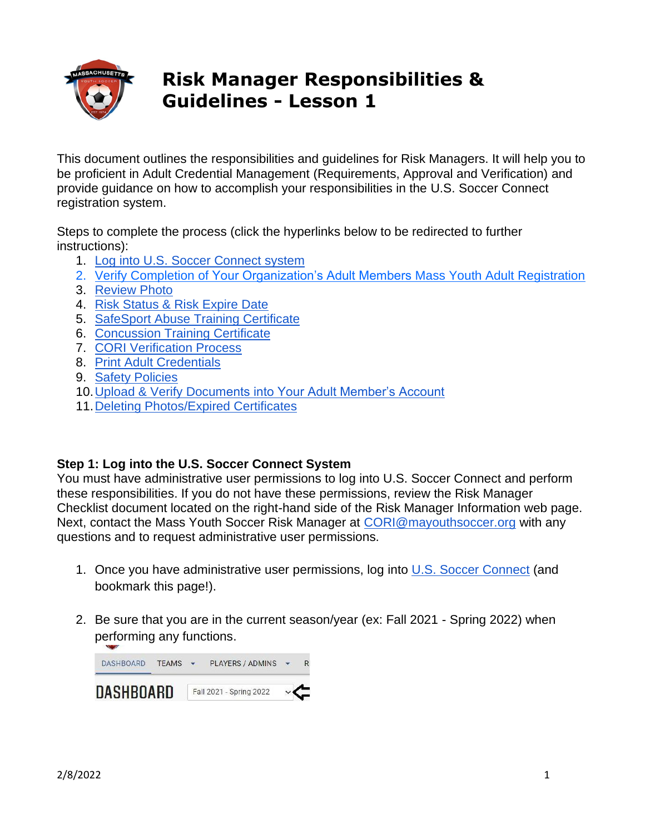

# **Risk Manager Responsibilities & Guidelines - Lesson 1**

This document outlines the responsibilities and guidelines for Risk Managers. It will help you to be proficient in Adult Credential Management (Requirements, Approval and Verification) and provide guidance on how to accomplish your responsibilities in the U.S. Soccer Connect registration system.

Steps to complete the process (click the hyperlinks below to be redirected to further instructions):

- 1. [Log into U.S. Soccer Connect system](#page-0-0)
- 2. Verify Completion of [Your Organization's Adult Members](#page-1-0) Mass Youth Adult Registration
- 3. [Review Photo](#page-2-0)
- 4. [Risk Status & Risk Expire Date](#page-2-1)
- 5. [SafeSport Abuse Training Certificate](#page-3-0)
- 6. [Concussion Training Certificate](#page-4-0)
- 7. [CORI Verification Process](#page-5-0)
- 8. [Print Adult Credentials](#page-6-0)
- 9. [Safety Policies](#page-8-0)
- 10[.Upload & Verify Documents into Your Adult Member's Account](#page-8-1)
- 11[.Deleting Photos/Expired Certificates](#page-9-0)

#### <span id="page-0-0"></span>**Step 1: Log into the U.S. Soccer Connect System**

You must have administrative user permissions to log into U.S. Soccer Connect and perform these responsibilities. If you do not have these permissions, review the Risk Manager Checklist document located on the right-hand side of the Risk Manager Information web page. Next, contact the Mass Youth Soccer Risk Manager at [CORI@mayouthsoccer.org](mailto:CORI@mayouthsoccer.org) with any questions and to request administrative user permissions.

- 1. Once you have administrative user permissions, log into [U.S. Soccer Connect](https://mayouthsoccer.sportsaffinity.com/Foundation/Login.aspx?sessionguid=) (and bookmark this page!).
- 2. Be sure that you are in the current season/year (ex: Fall 2021 Spring 2022) when performing any functions.

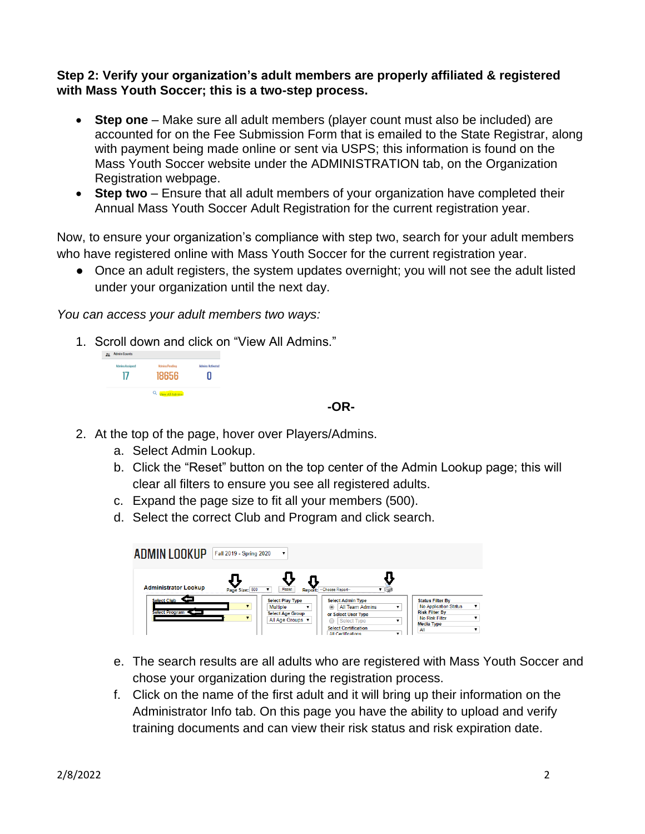#### <span id="page-1-0"></span>**Step 2: Verify your organization's adult members are properly affiliated & registered with Mass Youth Soccer; this is a two-step process.**

- **Step one** Make sure all adult members (player count must also be included) are accounted for on the Fee Submission Form that is emailed to the State Registrar, along with payment being made online or sent via USPS; this information is found on the Mass Youth Soccer website under the ADMINISTRATION tab, on the Organization Registration webpage.
- **Step two** Ensure that all adult members of your organization have completed their Annual Mass Youth Soccer Adult Registration for the current registration year.

Now, to ensure your organization's compliance with step two, search for your adult members who have registered online with Mass Youth Soccer for the current registration year.

● Once an adult registers, the system updates overnight; you will not see the adult listed under your organization until the next day.

*You can access your adult members two ways:*

1. Scroll down and click on "View All Admins."

| П     |
|-------|
|       |
| 18656 |

#### **-OR-**

- 2. At the top of the page, hover over Players/Admins.
	- a. Select Admin Lookup.
	- b. Click the "Reset" button on the top center of the Admin Lookup page; this will clear all filters to ensure you see all registered adults.
	- c. Expand the page size to fit all your members (500).
	- d. Select the correct Club and Program and click search.

| ADMIN LOOKUP                  | Fall 2019 - Spring 2020 | ▼                                                                                         |                                                                                                                                                           |                                                                                                                                                |
|-------------------------------|-------------------------|-------------------------------------------------------------------------------------------|-----------------------------------------------------------------------------------------------------------------------------------------------------------|------------------------------------------------------------------------------------------------------------------------------------------------|
| <b>Administrator Lookup</b>   | Page Size: 500          | Reset<br><b>Report:</b>                                                                   | -Choose Report-                                                                                                                                           |                                                                                                                                                |
| Select Club<br>Select Program | $\blacksquare$          | <b>Select Play Type</b><br><b>Multiple</b><br><b>Select Age Group</b><br>All Age Groups v | <b>Select Admin Type</b><br>All Team Admins<br>$^{\circ}$<br>7<br>or Select User Type<br>Select Type<br><b>Select Certification</b><br>All Certifications | <b>Status Filter By</b><br><b>No Application Status</b><br>$\mathbf{v}$<br><b>Risk Filter By</b><br>No Risk Filter<br><b>Media Type</b><br>All |

- e. The search results are all adults who are registered with Mass Youth Soccer and chose your organization during the registration process.
- f. Click on the name of the first adult and it will bring up their information on the Administrator Info tab. On this page you have the ability to upload and verify training documents and can view their risk status and risk expiration date.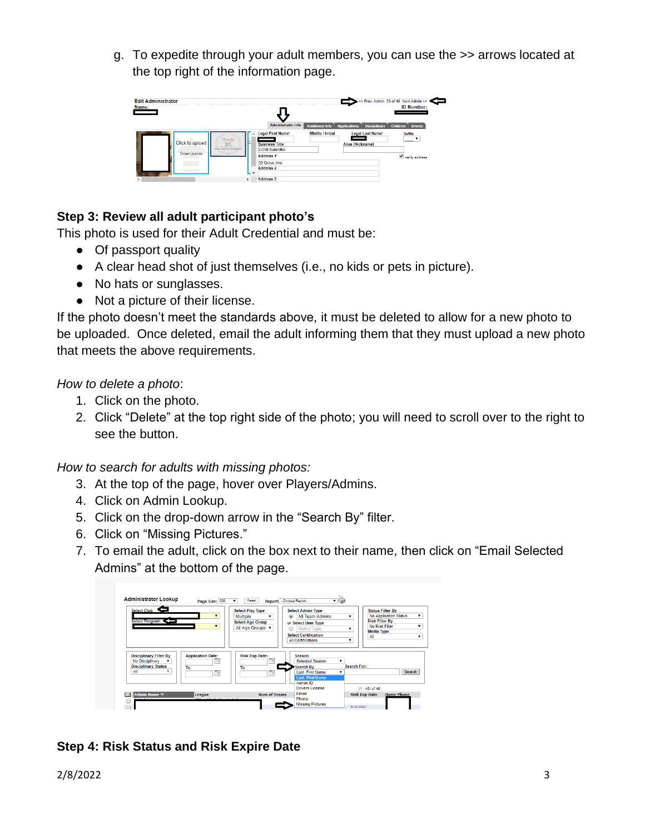g. To expedite through your adult members, you can use the >> arrows located at the top right of the information page.



## <span id="page-2-0"></span>**Step 3: Review all adult participant photo's**

This photo is used for their Adult Credential and must be:

- Of passport quality
- $\bullet$  A clear head shot of just themselves (i.e., no kids or pets in picture).
- No hats or sunglasses.
- Not a picture of their license.

If the photo doesn't meet the standards above, it must be deleted to allow for a new photo to be uploaded. Once deleted, email the adult informing them that they must upload a new photo that meets the above requirements.

*How to delete a photo*:

- 1. Click on the photo.
- 2. Click "Delete" at the top right side of the photo; you will need to scroll over to the right to see the button.

*How to search for adults with missing photos:*

- 3. At the top of the page, hover over Players/Admins.
- 4. Click on Admin Lookup.
- 5. Click on the drop-down arrow in the "Search By" filter.
- 6. Click on "Missing Pictures."
- 7. To email the adult, click on the box next to their name, then click on "Email Selected Admins" at the bottom of the page.



#### <span id="page-2-1"></span>**Step 4: Risk Status and Risk Expire Date**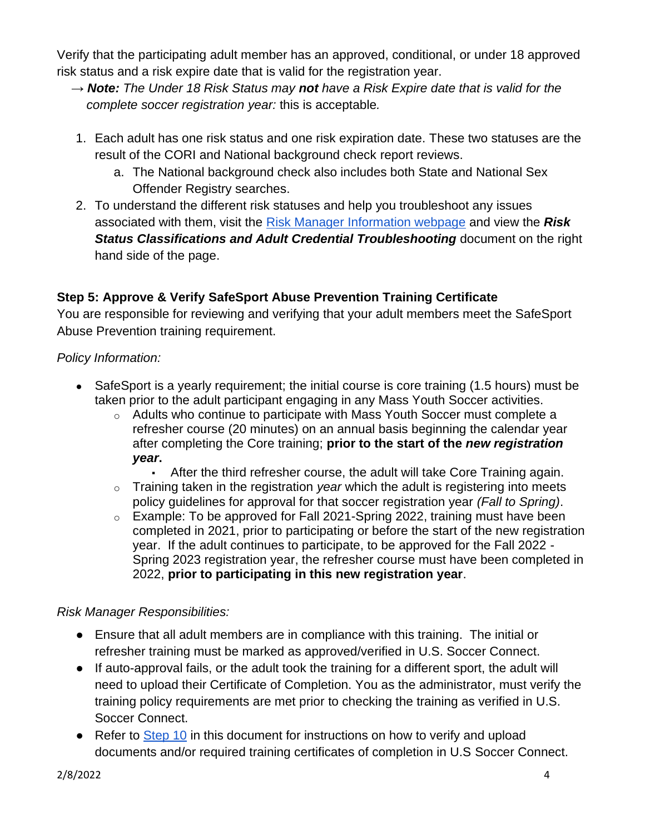Verify that the participating adult member has an approved, conditional, or under 18 approved risk status and a risk expire date that is valid for the registration year.

- **→** *Note: The Under 18 Risk Status may not have a Risk Expire date that is valid for the complete soccer registration year:* this is acceptable*.*
- 1. Each adult has one risk status and one risk expiration date. These two statuses are the result of the CORI and National background check report reviews.
	- a. The National background check also includes both State and National Sex Offender Registry searches.
- 2. To understand the different risk statuses and help you troubleshoot any issues associated with them, visit the [Risk Manager Information webpage](https://www.mayouthsoccer.org/risk-manager-information/) and view the *Risk*  **Status Classifications and Adult Credential Troubleshooting document on the right** hand side of the page.

## <span id="page-3-0"></span>**Step 5: Approve & Verify SafeSport Abuse Prevention Training Certificate**

You are responsible for reviewing and verifying that your adult members meet the SafeSport Abuse Prevention training requirement.

### *Policy Information:*

- SafeSport is a yearly requirement; the initial course is core training (1.5 hours) must be taken prior to the adult participant engaging in any Mass Youth Soccer activities.
	- o Adults who continue to participate with Mass Youth Soccer must complete a refresher course (20 minutes) on an annual basis beginning the calendar year after completing the Core training; **prior to the start of the** *new registration year***.**
		- After the third refresher course, the adult will take Core Training again.
	- o Training taken in the registration *year* which the adult is registering into meets policy guidelines for approval for that soccer registration year *(Fall to Spring)*.
	- $\circ$  Example: To be approved for Fall 2021-Spring 2022, training must have been completed in 2021, prior to participating or before the start of the new registration year. If the adult continues to participate, to be approved for the Fall 2022 - Spring 2023 registration year, the refresher course must have been completed in 2022, **prior to participating in this new registration year**.

## *Risk Manager Responsibilities:*

- Ensure that all adult members are in compliance with this training. The initial or refresher training must be marked as approved/verified in U.S. Soccer Connect.
- If auto-approval fails, or the adult took the training for a different sport, the adult will need to upload their Certificate of Completion. You as the administrator, must verify the training policy requirements are met prior to checking the training as verified in U.S. Soccer Connect.
- Refer to [Step 10](#page-8-2) in this document for instructions on how to verify and upload documents and/or required training certificates of completion in U.S Soccer Connect.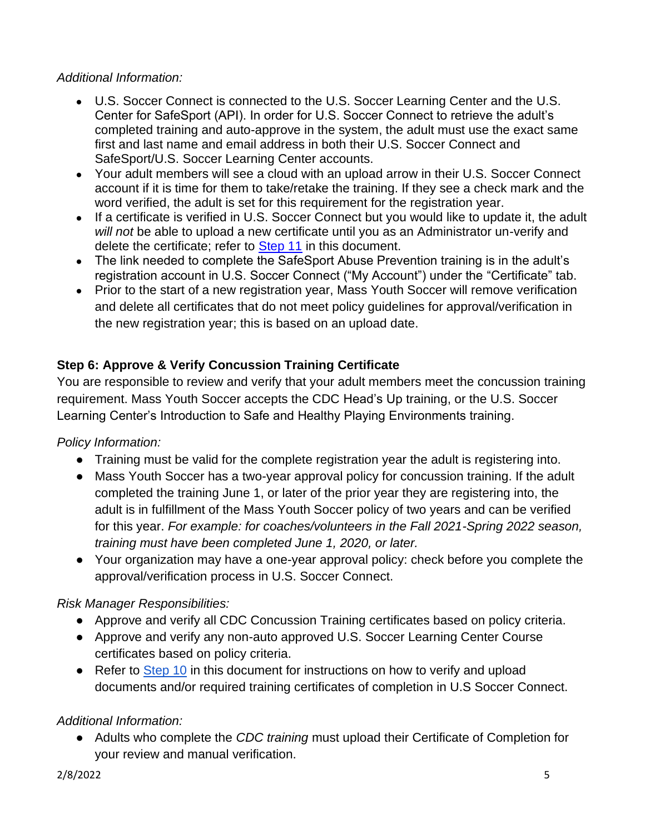#### *Additional Information:*

- U.S. Soccer Connect is connected to the U.S. Soccer Learning Center and the U.S. Center for SafeSport (API). In order for U.S. Soccer Connect to retrieve the adult's completed training and auto-approve in the system, the adult must use the exact same first and last name and email address in both their U.S. Soccer Connect and SafeSport/U.S. Soccer Learning Center accounts.
- Your adult members will see a cloud with an upload arrow in their U.S. Soccer Connect account if it is time for them to take/retake the training. If they see a check mark and the word verified, the adult is set for this requirement for the registration year.
- If a certificate is verified in U.S. Soccer Connect but you would like to update it, the adult *will not* be able to upload a new certificate until you as an Administrator un-verify and delete the certificate; refer to [Step 11](#page-9-0) in this document.
- The link needed to complete the SafeSport Abuse Prevention training is in the adult's registration account in U.S. Soccer Connect ("My Account") under the "Certificate" tab.
- <span id="page-4-0"></span>• Prior to the start of a new registration year, Mass Youth Soccer will remove verification and delete all certificates that do not meet policy guidelines for approval/verification in the new registration year; this is based on an upload date.

## **Step 6: Approve & Verify Concussion Training Certificate**

You are responsible to review and verify that your adult members meet the concussion training requirement. Mass Youth Soccer accepts the CDC Head's Up training, or the U.S. Soccer Learning Center's Introduction to Safe and Healthy Playing Environments training.

#### *Policy Information:*

- Training must be valid for the complete registration year the adult is registering into.
- Mass Youth Soccer has a two-year approval policy for concussion training. If the adult completed the training June 1, or later of the prior year they are registering into, the adult is in fulfillment of the Mass Youth Soccer policy of two years and can be verified for this year. *For example: for coaches/volunteers in the Fall 2021-Spring 2022 season, training must have been completed June 1, 2020, or later.*
- Your organization may have a one-year approval policy: check before you complete the approval/verification process in U.S. Soccer Connect.

#### *Risk Manager Responsibilities:*

- Approve and verify all CDC Concussion Training certificates based on policy criteria.
- Approve and verify any non-auto approved U.S. Soccer Learning Center Course certificates based on policy criteria.
- Refer to **Step 10** in this document for instructions on how to verify and upload documents and/or required training certificates of completion in U.S Soccer Connect.

#### *Additional Information:*

● Adults who complete the *CDC training* must upload their Certificate of Completion for your review and manual verification.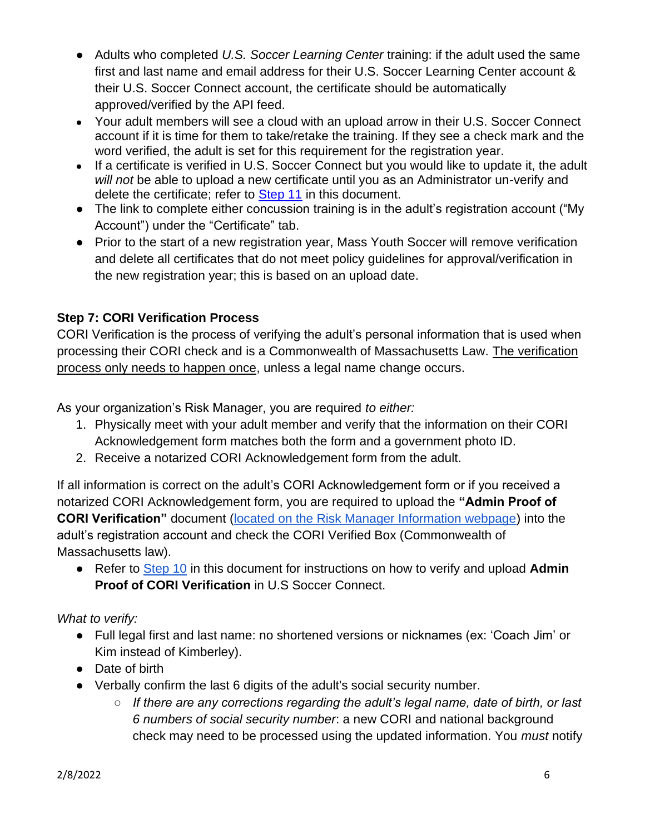- Adults who completed *U.S. Soccer Learning Center* training: if the adult used the same first and last name and email address for their U.S. Soccer Learning Center account & their U.S. Soccer Connect account, the certificate should be automatically approved/verified by the API feed.
- Your adult members will see a cloud with an upload arrow in their U.S. Soccer Connect account if it is time for them to take/retake the training. If they see a check mark and the word verified, the adult is set for this requirement for the registration year.
- If a certificate is verified in U.S. Soccer Connect but you would like to update it, the adult *will not* be able to upload a new certificate until you as an Administrator un-verify and delete the certificate; refer to [Step 11](#page-9-0) in this document.
- The link to complete either concussion training is in the adult's registration account ("My Account") under the "Certificate" tab.
- Prior to the start of a new registration year, Mass Youth Soccer will remove verification and delete all certificates that do not meet policy guidelines for approval/verification in the new registration year; this is based on an upload date.

## <span id="page-5-0"></span>**Step 7: CORI Verification Process**

CORI Verification is the process of verifying the adult's personal information that is used when processing their CORI check and is a Commonwealth of Massachusetts Law. The verification process only needs to happen once, unless a legal name change occurs.

As your organization's Risk Manager, you are required *to either:*

- 1. Physically meet with your adult member and verify that the information on their CORI Acknowledgement form matches both the form and a government photo ID.
- 2. Receive a notarized CORI Acknowledgement form from the adult.

If all information is correct on the adult's CORI Acknowledgement form or if you received a notarized CORI Acknowledgement form, you are required to upload the **"Admin Proof of CORI Verification"** document [\(located on the Risk Manager Information webpage\)](https://www.mayouthsoccer.org/risk-manager-information/) into the adult's registration account and check the CORI Verified Box (Commonwealth of Massachusetts law).

● Refer to [Step 10](#page-8-2) in this document for instructions on how to verify and upload **Admin Proof of CORI Verification** in U.S Soccer Connect.

## *What to verify:*

- Full legal first and last name: no shortened versions or nicknames (ex: 'Coach Jim' or Kim instead of Kimberley).
- Date of birth
- Verbally confirm the last 6 digits of the adult's social security number.
	- *If there are any corrections regarding the adult's legal name, date of birth, or last 6 numbers of social security number*: a new CORI and national background check may need to be processed using the updated information. You *must* notify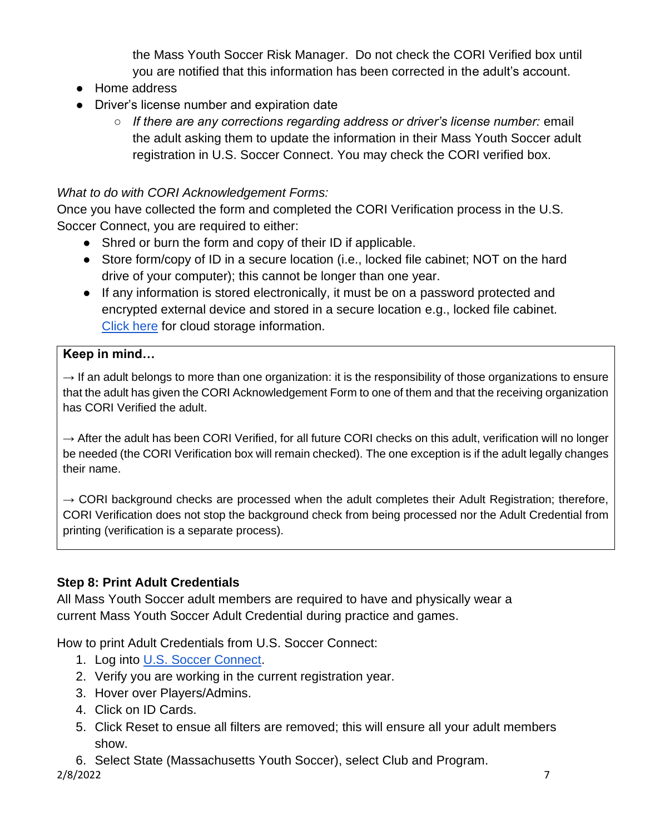the Mass Youth Soccer Risk Manager. Do not check the CORI Verified box until you are notified that this information has been corrected in the adult's account.

- Home address
- Driver's license number and expiration date
	- *If there are any corrections regarding address or driver's license number:* email the adult asking them to update the information in their Mass Youth Soccer adult registration in U.S. Soccer Connect. You may check the CORI verified box.

## *What to do with CORI Acknowledgement Forms:*

Once you have collected the form and completed the CORI Verification process in the U.S. Soccer Connect, you are required to either:

- Shred or burn the form and copy of their ID if applicable.
- Store form/copy of ID in a secure location (i.e., locked file cabinet; NOT on the hard drive of your computer); this cannot be longer than one year.
- If any information is stored electronically, it must be on a password protected and encrypted external device and stored in a secure location e.g., locked file cabinet. [Click here](https://www.mass.gov/files/documents/2017/09/26/ICLOUD%20Storage_0.pdf?_ga=2.174394533.666127044.1592842047-673289979.1583422447) for cloud storage information.

## **Keep in mind…**

 $\rightarrow$  If an adult belongs to more than one organization: it is the responsibility of those organizations to ensure that the adult has given the CORI Acknowledgement Form to one of them and that the receiving organization has CORI Verified the adult.

 $\rightarrow$  After the adult has been CORI Verified, for all future CORI checks on this adult, verification will no longer be needed (the CORI Verification box will remain checked). The one exception is if the adult legally changes their name.

 $\rightarrow$  CORI background checks are processed when the adult completes their Adult Registration; therefore, CORI Verification does not stop the background check from being processed nor the Adult Credential from printing (verification is a separate process).

## <span id="page-6-0"></span>**Step 8: Print Adult Credentials**

All Mass Youth Soccer adult members are required to have and physically wear a current Mass Youth Soccer Adult Credential during practice and games.

How to print Adult Credentials from U.S. Soccer Connect:

- 1. Log into [U.S. Soccer Connect.](https://ma-adultinfo.affinitysoccer.com/Foundation/Login.aspx?sessionguid=)
- 2. Verify you are working in the current registration year.
- 3. Hover over Players/Admins.
- 4. Click on ID Cards.
- 5. Click Reset to ensue all filters are removed; this will ensure all your adult members show.
- 6. Select State (Massachusetts Youth Soccer), select Club and Program.

2/8/2022 7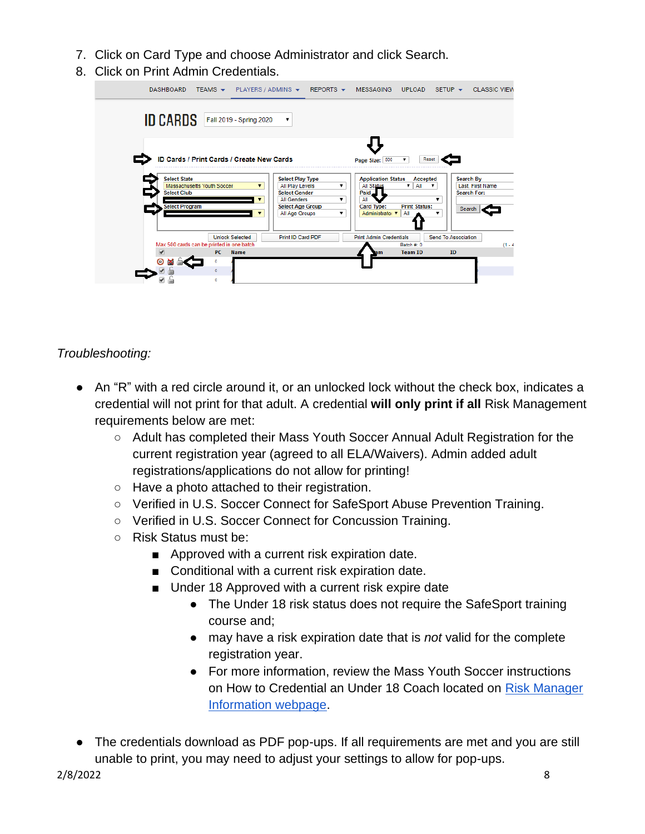- 7. Click on Card Type and choose Administrator and click Search.
- 8. Click on Print Admin Credentials.

| TEAMS $\star$ PLAYERS / ADMINS $\star$ REPORTS $\star$<br>DASHBOARD          |                                                                                          | MESSAGING                                                   | UPLOAD                      | SFTUP                                        | <b>CLASSIC VIEW</b> |
|------------------------------------------------------------------------------|------------------------------------------------------------------------------------------|-------------------------------------------------------------|-----------------------------|----------------------------------------------|---------------------|
| <b>ID CARDS</b> Fall 2019 - Spring 2020                                      |                                                                                          |                                                             |                             |                                              |                     |
| ID Cards / Print Cards / Create New Cards                                    |                                                                                          | Page Size: 500                                              | Reset                       |                                              |                     |
| <b>Select State</b><br>Massachusetts Youth Soccer<br>▼<br><b>Select Club</b> | <b>Select Play Type</b><br>All Play Levels<br><b>Select Gender</b><br><b>All Genders</b> | <b>Application Status</b><br>All Status<br>Paid<br>All<br>▼ | Accepted<br>All<br>▼        | Search By<br>Last, First Name<br>Search For: |                     |
| <b>Select Program</b>                                                        | <b>Select Age Group</b><br>All Age Groups                                                | Card Type:<br>Administrator v                               | <b>Print Status:</b><br>All | Search                                       |                     |
| <b>Unlock Selected</b>                                                       | Print ID Card PDF                                                                        | <b>Print Admin Credentials</b>                              |                             | Send To Association                          |                     |
| Max 500 cards can be printed in one batch                                    |                                                                                          |                                                             | Batch #: 0                  |                                              | $(1 - 4)$           |
| PC<br><b>Name</b>                                                            |                                                                                          | am                                                          | <b>Team ID</b>              | ID                                           |                     |
| ٥<br>$\circ$                                                                 |                                                                                          |                                                             |                             |                                              |                     |
| $\circ$                                                                      |                                                                                          |                                                             |                             |                                              |                     |

*Troubleshooting:* 

- An "R" with a red circle around it, or an unlocked lock without the check box, indicates a credential will not print for that adult. A credential **will only print if all** Risk Management requirements below are met:
	- Adult has completed their Mass Youth Soccer Annual Adult Registration for the current registration year (agreed to all ELA/Waivers). Admin added adult registrations/applications do not allow for printing!
	- Have a photo attached to their registration.
	- Verified in U.S. Soccer Connect for SafeSport Abuse Prevention Training.
	- Verified in U.S. Soccer Connect for Concussion Training.
	- Risk Status must be:
		- Approved with a current risk expiration date.
		- Conditional with a current risk expiration date.
		- Under 18 Approved with a current risk expire date
			- The Under 18 risk status does not require the SafeSport training course and;
			- may have a risk expiration date that is *not* valid for the complete registration year.
			- For more information, review the Mass Youth Soccer instructions on How to Credential an Under 18 Coach located on Risk Manager [Information webpage.](https://www.mayouthsoccer.org/risk-manager-information/)
- The credentials download as PDF pop-ups. If all requirements are met and you are still unable to print, you may need to adjust your settings to allow for pop-ups.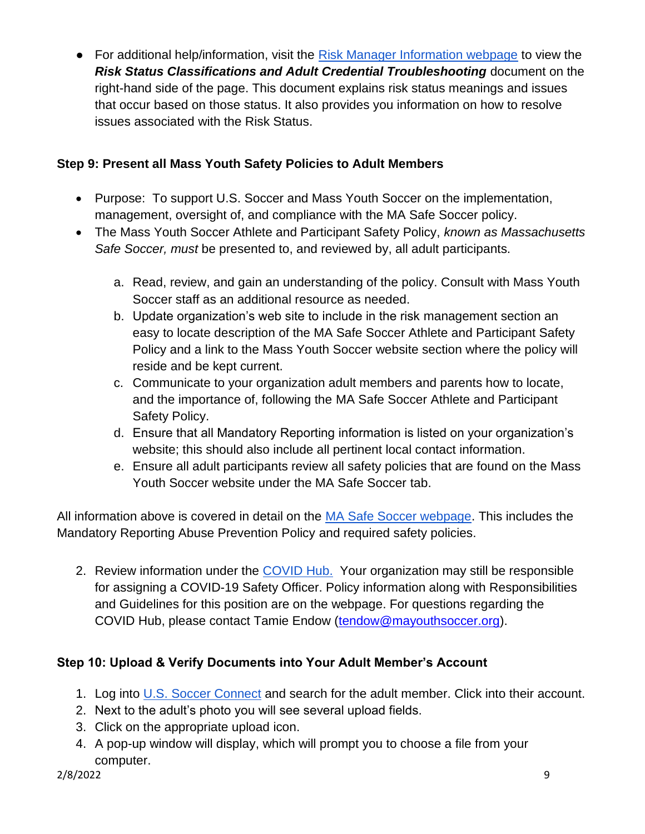● For additional help/information, visit the [Risk Manager Information webpage](https://www.mayouthsoccer.org/risk-manager-information/) to view the *Risk Status Classifications and Adult Credential Troubleshooting* document on the right-hand side of the page. This document explains risk status meanings and issues that occur based on those status. It also provides you information on how to resolve issues associated with the Risk Status.

## <span id="page-8-0"></span>**Step 9: Present all Mass Youth Safety Policies to Adult Members**

- Purpose: To support U.S. Soccer and Mass Youth Soccer on the implementation, management, oversight of, and compliance with the MA Safe Soccer policy.
- The Mass Youth Soccer Athlete and Participant Safety Policy, *known as Massachusetts Safe Soccer, must* be presented to, and reviewed by, all adult participants.
	- a. Read, review, and gain an understanding of the policy. Consult with Mass Youth Soccer staff as an additional resource as needed.
	- b. Update organization's web site to include in the risk management section an easy to locate description of the MA Safe Soccer Athlete and Participant Safety Policy and a link to the Mass Youth Soccer website section where the policy will reside and be kept current.
	- c. Communicate to your organization adult members and parents how to locate, and the importance of, following the MA Safe Soccer Athlete and Participant Safety Policy.
	- d. Ensure that all Mandatory Reporting information is listed on your organization's website; this should also include all pertinent local contact information.
	- e. Ensure all adult participants review all safety policies that are found on the Mass Youth Soccer website under the MA Safe Soccer tab.

All information above is covered in detail on the [MA Safe Soccer webpage.](https://www.mayouthsoccer.org/about/ma-safe-soccer/) This includes the Mandatory Reporting Abuse Prevention Policy and required safety policies.

2. Review information under the [COVID Hub.](https://www.mayouthsoccer.org/covid-hub/) Your organization may still be responsible for assigning a COVID-19 Safety Officer. Policy information along with Responsibilities and Guidelines for this position are on the webpage. For questions regarding the COVID Hub, please contact Tamie Endow [\(tendow@mayouthsoccer.org\)](mailto:tendow@mayouthsoccer.org).

## <span id="page-8-2"></span><span id="page-8-1"></span>**Step 10: Upload & Verify Documents into Your Adult Member's Account**

- 1. Log into [U.S.](https://ma-adultinfo.affinitysoccer.com/Foundation/Login.aspx?sessionguid=) [Soccer Connect](https://ma-adultinfo.affinitysoccer.com/Foundation/Login.aspx?sessionguid=) and search for the adult member. Click into their account.
- 2. Next to the adult's photo you will see several upload fields.
- 3. Click on the appropriate upload icon.
- 4. A pop-up window will display, which will prompt you to choose a file from your computer.